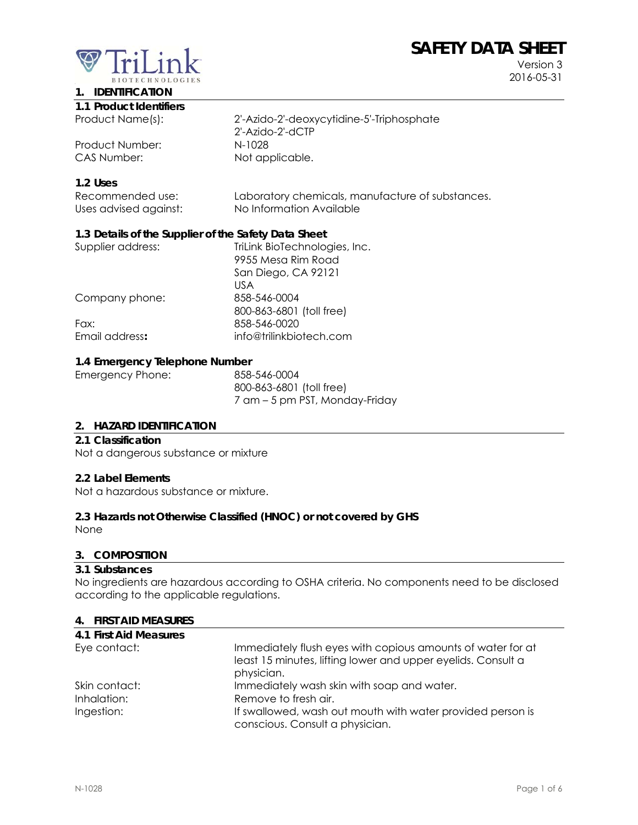# **SAFETY DATA SHEET**



Version 3 2016-05-31

# **1. IDENTIFICATION**

| 1.1 Product Identifiers |
|-------------------------|
|-------------------------|

Product Number: N-1028 CAS Number: Not applicable.

Product Name(s): 2'-Azido-2'-deoxycytidine-5'-Triphosphate 2'-Azido-2'-dCTP

# **1.2 Uses**

| Recommended use:      | Laboratory chemicals, manufacture of substances. |
|-----------------------|--------------------------------------------------|
| Uses advised against: | No Information Available                         |

# **1.3 Details of the Supplier of the Safety Data Sheet**

| TriLink BioTechnologies, Inc. |
|-------------------------------|
| 9955 Mesa Rim Road            |
| San Diego, CA 92121           |
| US A                          |
| 858-546-0004                  |
| 800-863-6801 (toll free)      |
| 858-546-0020                  |
| info@trilinkbiotech.com       |
|                               |

### **1.4 Emergency Telephone Number**

| 858-546-0004                   |
|--------------------------------|
| 800-863-6801 (toll free)       |
| 7 am – 5 pm PST, Monday-Friday |
|                                |

#### **2. HAZARD IDENTIFICATION**

#### **2.1 Classification**

Not a dangerous substance or mixture

#### **2.2 Label Elements**

Not a hazardous substance or mixture.

#### **2.3 Hazards not Otherwise Classified (HNOC) or not covered by GHS**

None

#### **3. COMPOSITION**

#### **3.1 Substances**

No ingredients are hazardous according to OSHA criteria. No components need to be disclosed according to the applicable regulations.

#### **4. FIRST AID MEASURES**

| 4.1 First Aid Measures |                                                                                                                                           |
|------------------------|-------------------------------------------------------------------------------------------------------------------------------------------|
| Eye contact:           | Immediately flush eyes with copious amounts of water for at<br>least 15 minutes, lifting lower and upper eyelids. Consult a<br>physician. |
| Skin contact:          | Immediately wash skin with soap and water.                                                                                                |
| Inhalation:            | Remove to fresh air.                                                                                                                      |
| Ingestion:             | If swallowed, wash out mouth with water provided person is                                                                                |
|                        | conscious. Consult a physician.                                                                                                           |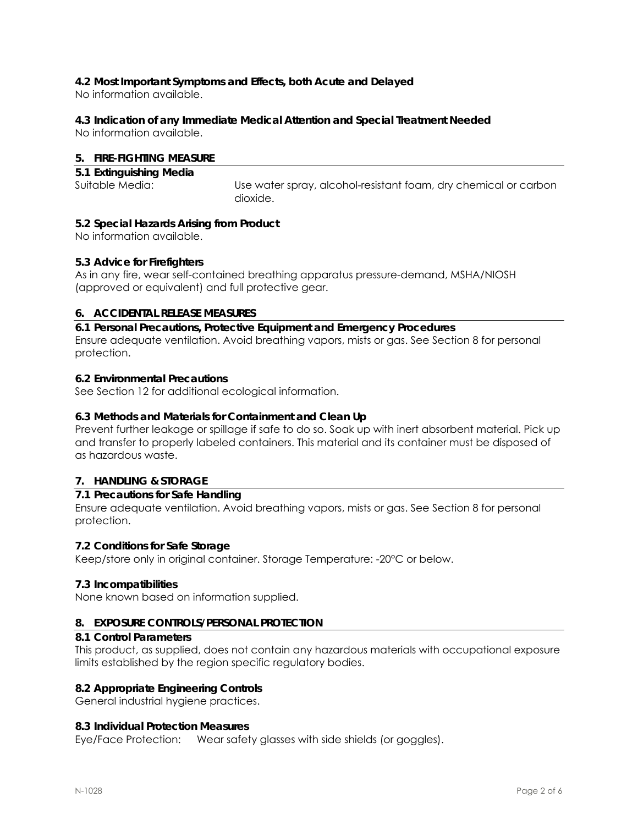# **4.2 Most Important Symptoms and Effects, both Acute and Delayed**

No information available.

# **4.3 Indication of any Immediate Medical Attention and Special Treatment Needed**

No information available.

# **5. FIRE-FIGHTING MEASURE**

| 5.1 Extinguishing Media |                                                                 |
|-------------------------|-----------------------------------------------------------------|
| Suitable Media:         | Use water spray, alcohol-resistant foam, dry chemical or carbon |
|                         | dioxide.                                                        |

# **5.2 Special Hazards Arising from Product**

No information available.

# **5.3 Advice for Firefighters**

As in any fire, wear self-contained breathing apparatus pressure-demand, MSHA/NIOSH (approved or equivalent) and full protective gear.

# **6. ACCIDENTAL RELEASE MEASURES**

**6.1 Personal Precautions, Protective Equipment and Emergency Procedures**  Ensure adequate ventilation. Avoid breathing vapors, mists or gas. See Section 8 for personal protection.

# **6.2 Environmental Precautions**

See Section 12 for additional ecological information.

# **6.3 Methods and Materials for Containment and Clean Up**

Prevent further leakage or spillage if safe to do so. Soak up with inert absorbent material. Pick up and transfer to properly labeled containers. This material and its container must be disposed of as hazardous waste.

# **7. HANDLING & STORAGE**

# **7.1 Precautions for Safe Handling**

Ensure adequate ventilation. Avoid breathing vapors, mists or gas. See Section 8 for personal protection.

#### **7.2 Conditions for Safe Storage**

Keep/store only in original container. Storage Temperature: -20°C or below.

#### **7.3 Incompatibilities**

None known based on information supplied.

#### **8. EXPOSURE CONTROLS/PERSONAL PROTECTION**

#### **8.1 Control Parameters**

This product, as supplied, does not contain any hazardous materials with occupational exposure limits established by the region specific regulatory bodies.

#### **8.2 Appropriate Engineering Controls**

General industrial hygiene practices.

#### **8.3 Individual Protection Measures**

Eye/Face Protection: Wear safety glasses with side shields (or goggles).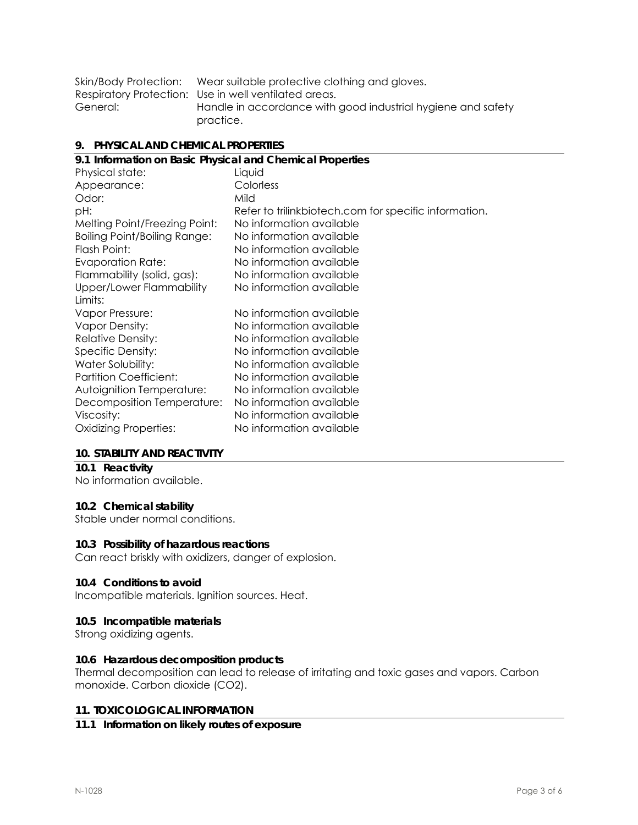|          | Skin/Body Protection: Wear suitable protective clothing and gloves. |
|----------|---------------------------------------------------------------------|
|          | Respiratory Protection: Use in well ventilated areas.               |
| General: | Handle in accordance with good industrial hygiene and safety        |
|          | practice.                                                           |

#### **9. PHYSICAL AND CHEMICAL PROPERTIES**

| 9.1 Information on Basic Physical and Chemical Properties |                                                       |  |
|-----------------------------------------------------------|-------------------------------------------------------|--|
| Physical state:                                           | Liquid                                                |  |
| Appearance:                                               | Colorless                                             |  |
| Odor:                                                     | Mild                                                  |  |
| pH:                                                       | Refer to trilinkbiotech.com for specific information. |  |
| Melting Point/Freezing Point:                             | No information available                              |  |
| <b>Boiling Point/Boiling Range:</b>                       | No information available                              |  |
| Flash Point:                                              | No information available                              |  |
| <b>Evaporation Rate:</b>                                  | No information available                              |  |
| Flammability (solid, gas):                                | No information available                              |  |
| Upper/Lower Flammability                                  | No information available                              |  |
| Limits:                                                   |                                                       |  |
| Vapor Pressure:                                           | No information available                              |  |
| <b>Vapor Density:</b>                                     | No information available                              |  |
| <b>Relative Density:</b>                                  | No information available                              |  |
| Specific Density:                                         | No information available                              |  |
| Water Solubility:                                         | No information available                              |  |
| <b>Partition Coefficient:</b>                             | No information available                              |  |
| Autoignition Temperature:                                 | No information available                              |  |
| Decomposition Temperature:                                | No information available                              |  |
| Viscosity:                                                | No information available                              |  |
| <b>Oxidizing Properties:</b>                              | No information available                              |  |
|                                                           |                                                       |  |

#### **10. STABILITY AND REACTIVITY**

# **10.1 Reactivity**

No information available.

# **10.2 Chemical stability**

Stable under normal conditions.

#### **10.3 Possibility of hazardous reactions**

Can react briskly with oxidizers, danger of explosion.

#### **10.4 Conditions to avoid**

Incompatible materials. Ignition sources. Heat.

#### **10.5 Incompatible materials**

Strong oxidizing agents.

#### **10.6 Hazardous decomposition products**

Thermal decomposition can lead to release of irritating and toxic gases and vapors. Carbon monoxide. Carbon dioxide (CO2).

#### **11. TOXICOLOGICAL INFORMATION**

#### **11.1 Information on likely routes of exposure**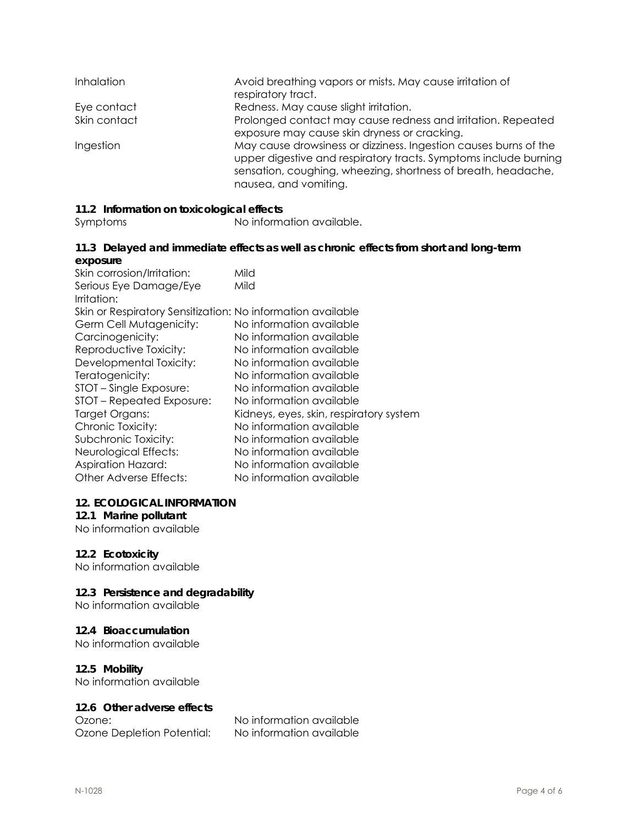| <b>Inhalation</b> | Avoid breathing vapors or mists. May cause irritation of<br>respiratory tract.                                                                                                                                                 |
|-------------------|--------------------------------------------------------------------------------------------------------------------------------------------------------------------------------------------------------------------------------|
| Eye contact       | Redness. May cause slight irritation.                                                                                                                                                                                          |
| Skin contact      | Prolonged contact may cause redness and irritation. Repeated<br>exposure may cause skin dryness or cracking.                                                                                                                   |
| Ingestion         | May cause drowsiness or dizziness. Ingestion causes burns of the<br>upper digestive and respiratory tracts. Symptoms include burning<br>sensation, coughing, wheezing, shortness of breath, headache,<br>nausea, and vomiting. |

### **11.2 Information on toxicological effects**

Symptoms No information available.

#### **11.3 Delayed and immediate effects as well as chronic effects from short and long-term exposure**

| Mild<br>Skin or Respiratory Sensitization: No information available<br>No information available<br>No information available<br>No information available<br>No information available<br>No information available<br>No information available<br>No information available<br>Kidneys, eyes, skin, respiratory system<br>No information available<br>No information available<br>No information available<br>No information available | Skin corrosion/Irritation: | Mild                     |
|------------------------------------------------------------------------------------------------------------------------------------------------------------------------------------------------------------------------------------------------------------------------------------------------------------------------------------------------------------------------------------------------------------------------------------|----------------------------|--------------------------|
|                                                                                                                                                                                                                                                                                                                                                                                                                                    | Serious Eye Damage/Eye     |                          |
|                                                                                                                                                                                                                                                                                                                                                                                                                                    | Irritation:                |                          |
|                                                                                                                                                                                                                                                                                                                                                                                                                                    |                            |                          |
|                                                                                                                                                                                                                                                                                                                                                                                                                                    | Germ Cell Mutagenicity:    |                          |
|                                                                                                                                                                                                                                                                                                                                                                                                                                    | Carcinogenicity:           |                          |
|                                                                                                                                                                                                                                                                                                                                                                                                                                    | Reproductive Toxicity:     |                          |
|                                                                                                                                                                                                                                                                                                                                                                                                                                    | Developmental Toxicity:    |                          |
|                                                                                                                                                                                                                                                                                                                                                                                                                                    | Teratogenicity:            |                          |
|                                                                                                                                                                                                                                                                                                                                                                                                                                    | STOT – Single Exposure:    |                          |
|                                                                                                                                                                                                                                                                                                                                                                                                                                    | STOT - Repeated Exposure:  |                          |
|                                                                                                                                                                                                                                                                                                                                                                                                                                    | Target Organs:             |                          |
|                                                                                                                                                                                                                                                                                                                                                                                                                                    | Chronic Toxicity:          |                          |
|                                                                                                                                                                                                                                                                                                                                                                                                                                    | Subchronic Toxicity:       |                          |
|                                                                                                                                                                                                                                                                                                                                                                                                                                    | Neurological Effects:      |                          |
|                                                                                                                                                                                                                                                                                                                                                                                                                                    | <b>Aspiration Hazard:</b>  |                          |
|                                                                                                                                                                                                                                                                                                                                                                                                                                    | Other Adverse Effects:     | No information available |

#### **12. ECOLOGICAL INFORMATION**

### **12.1 Marine pollutant**

No information available

#### **12.2 Ecotoxicity**

No information available

### **12.3 Persistence and degradability**

No information available

#### **12.4 Bioaccumulation**

No information available

#### **12.5 Mobility**

No information available

#### **12.6 Other adverse effects**

Ozone Depletion Potential: No information available

Ozone: No information available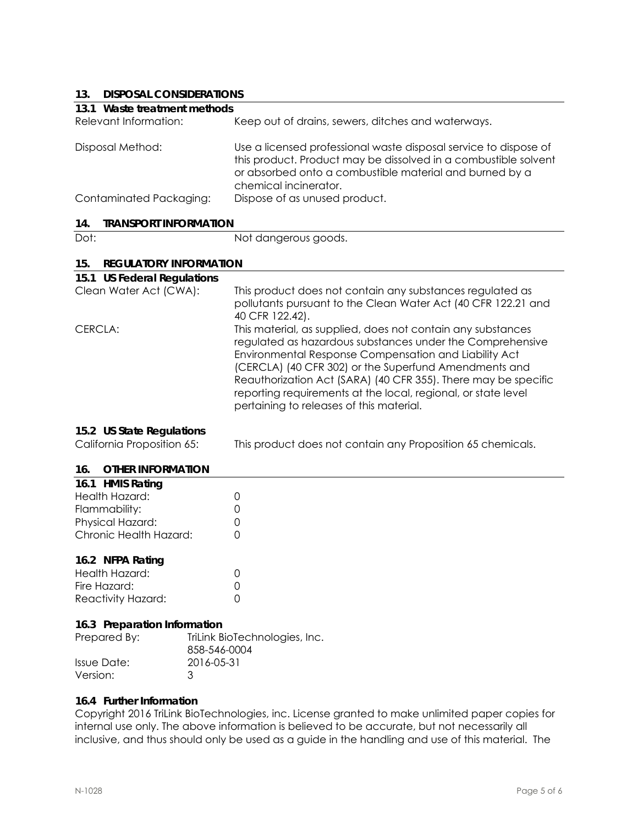# **13. DISPOSAL CONSIDERATIONS**

| 13.<br>DISPOSAL CONSIDERATIONS       |                                                                                                                                                                                                                                                                                                                                                                                                                           |
|--------------------------------------|---------------------------------------------------------------------------------------------------------------------------------------------------------------------------------------------------------------------------------------------------------------------------------------------------------------------------------------------------------------------------------------------------------------------------|
| 13.1 Waste treatment methods         |                                                                                                                                                                                                                                                                                                                                                                                                                           |
| Relevant Information:                | Keep out of drains, sewers, ditches and waterways.                                                                                                                                                                                                                                                                                                                                                                        |
| Disposal Method:                     | Use a licensed professional waste disposal service to dispose of<br>this product. Product may be dissolved in a combustible solvent<br>or absorbed onto a combustible material and burned by a<br>chemical incinerator.                                                                                                                                                                                                   |
| Contaminated Packaging:              | Dispose of as unused product.                                                                                                                                                                                                                                                                                                                                                                                             |
| <b>TRANSPORT INFORMATION</b><br>14.  |                                                                                                                                                                                                                                                                                                                                                                                                                           |
| Dot:                                 | Not dangerous goods.                                                                                                                                                                                                                                                                                                                                                                                                      |
| <b>REGULATORY INFORMATION</b><br>15. |                                                                                                                                                                                                                                                                                                                                                                                                                           |
| 15.1 US Federal Regulations          |                                                                                                                                                                                                                                                                                                                                                                                                                           |
| Clean Water Act (CWA):               | This product does not contain any substances regulated as<br>pollutants pursuant to the Clean Water Act (40 CFR 122.21 and<br>40 CFR 122.42).                                                                                                                                                                                                                                                                             |
| CERCLA:                              | This material, as supplied, does not contain any substances<br>regulated as hazardous substances under the Comprehensive<br>Environmental Response Compensation and Liability Act<br>(CERCLA) (40 CFR 302) or the Superfund Amendments and<br>Reauthorization Act (SARA) (40 CFR 355). There may be specific<br>reporting requirements at the local, regional, or state level<br>pertaining to releases of this material. |
| 15.2 US State Regulations            |                                                                                                                                                                                                                                                                                                                                                                                                                           |
| California Proposition 65:           | This product does not contain any Proposition 65 chemicals.                                                                                                                                                                                                                                                                                                                                                               |
| 16.<br><b>OTHER INFORMATION</b>      |                                                                                                                                                                                                                                                                                                                                                                                                                           |
| 16.1 HMIS Rating                     |                                                                                                                                                                                                                                                                                                                                                                                                                           |
| والمستمر سيمال الملليات والرازي      | $\sim$                                                                                                                                                                                                                                                                                                                                                                                                                    |

| Health Hazard:         |        |
|------------------------|--------|
| Flammability:          | Ω      |
| Physical Hazard:       | $\cap$ |
| Chronic Health Hazard: | $\cap$ |
|                        |        |

#### **16.2 NFPA Rating**

| Health Hazard:     |        |
|--------------------|--------|
| Fire Hazard:       | $\cap$ |
| Reactivity Hazard: |        |

#### **16.3 Preparation Information**

| Prepared By: | TriLink BioTechnologies, Inc.<br>858-546-0004 |
|--------------|-----------------------------------------------|
| Issue Date:  | 2016-05-31                                    |
| Version:     | ંવ                                            |

#### **16.4 Further Information**

Copyright 2016 TriLink BioTechnologies, inc. License granted to make unlimited paper copies for internal use only. The above information is believed to be accurate, but not necessarily all inclusive, and thus should only be used as a guide in the handling and use of this material. The